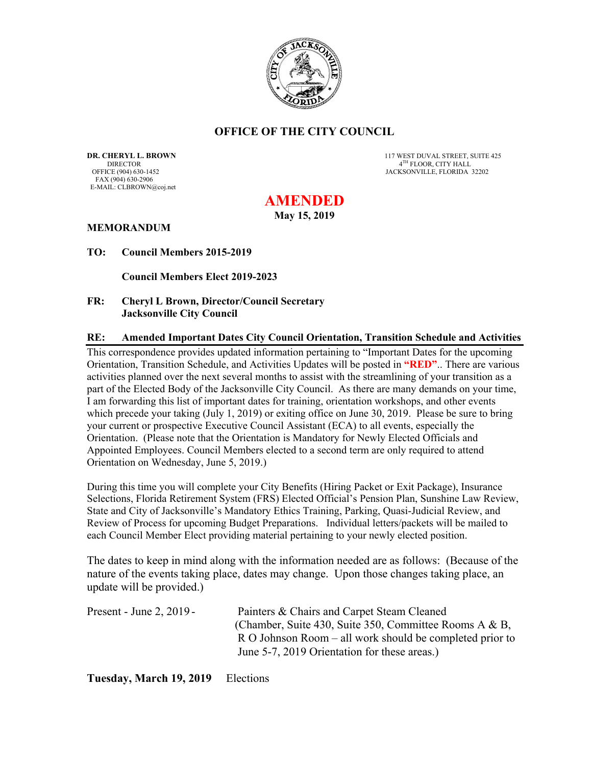

### **OFFICE OF THE CITY COUNCIL**

DIRECTOR 4<sup>TH</sup> FLOOR, CITY HALL OFFICE (904) 630-1452 **ADDITION** 2 FAX (904) 630-2906 E-MAIL: CLBROWN@coj.net

**DR. CHERYL L. BROWN 
DIRECTOR 117 WEST DUVAL STREET, SUITE 425**<br>
DIRECTOR **A<sup>TH</sup> FLOOR. CITY HALL** JACKSONVILLE, FLORIDA 32202

# **AMENDED**

**May 15, 2019** 

### **MEMORANDUM**

**TO: Council Members 2015-2019** 

 **Council Members Elect 2019-2023** 

### **FR: Cheryl L Brown, Director/Council Secretary Jacksonville City Council**

#### **RE: Amended Important Dates City Council Orientation, Transition Schedule and Activities**

This correspondence provides updated information pertaining to "Important Dates for the upcoming Orientation, Transition Schedule, and Activities Updates will be posted in **"RED"**.. There are various activities planned over the next several months to assist with the streamlining of your transition as a part of the Elected Body of the Jacksonville City Council. As there are many demands on your time, I am forwarding this list of important dates for training, orientation workshops, and other events which precede your taking (July 1, 2019) or exiting office on June 30, 2019. Please be sure to bring your current or prospective Executive Council Assistant (ECA) to all events, especially the Orientation. (Please note that the Orientation is Mandatory for Newly Elected Officials and Appointed Employees. Council Members elected to a second term are only required to attend Orientation on Wednesday, June 5, 2019.)

During this time you will complete your City Benefits (Hiring Packet or Exit Package), Insurance Selections, Florida Retirement System (FRS) Elected Official's Pension Plan, Sunshine Law Review, State and City of Jacksonville's Mandatory Ethics Training, Parking, Quasi-Judicial Review, and Review of Process for upcoming Budget Preparations. Individual letters/packets will be mailed to each Council Member Elect providing material pertaining to your newly elected position.

The dates to keep in mind along with the information needed are as follows: (Because of the nature of the events taking place, dates may change. Upon those changes taking place, an update will be provided.)

| Present - June 2, $2019$ - | Painters & Chairs and Carpet Steam Cleaned                 |
|----------------------------|------------------------------------------------------------|
|                            | (Chamber, Suite 430, Suite 350, Committee Rooms A & B,     |
|                            | $R$ O Johnson Room – all work should be completed prior to |
|                            | June 5-7, 2019 Orientation for these areas.)               |
|                            |                                                            |

**Tuesday, March 19, 2019** Elections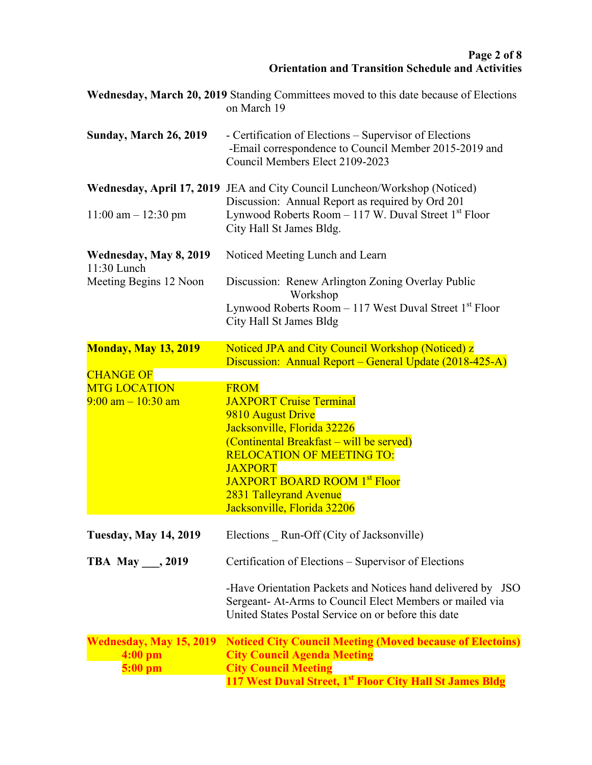|                                                                  | <b>Wednesday, March 20, 2019</b> Standing Committees moved to this date because of Elections<br>on March 19                                                                                                                                                                                         |
|------------------------------------------------------------------|-----------------------------------------------------------------------------------------------------------------------------------------------------------------------------------------------------------------------------------------------------------------------------------------------------|
| <b>Sunday, March 26, 2019</b>                                    | - Certification of Elections – Supervisor of Elections<br>-Email correspondence to Council Member 2015-2019 and<br>Council Members Elect 2109-2023                                                                                                                                                  |
| $11:00$ am $- 12:30$ pm                                          | Wednesday, April 17, 2019 JEA and City Council Luncheon/Workshop (Noticed)<br>Discussion: Annual Report as required by Ord 201<br>Lynwood Roberts Room $-117$ W. Duval Street 1 <sup>st</sup> Floor                                                                                                 |
| Wednesday, May 8, 2019<br>11:30 Lunch                            | City Hall St James Bldg.<br>Noticed Meeting Lunch and Learn                                                                                                                                                                                                                                         |
| Meeting Begins 12 Noon                                           | Discussion: Renew Arlington Zoning Overlay Public<br>Workshop<br>Lynwood Roberts Room $-117$ West Duval Street 1st Floor<br>City Hall St James Bldg                                                                                                                                                 |
| <b>Monday, May 13, 2019</b>                                      | Noticed JPA and City Council Workshop (Noticed) z<br>Discussion: Annual Report – General Update (2018-425-A)                                                                                                                                                                                        |
| <b>CHANGE OF</b><br><b>MTG LOCATION</b><br>$9:00$ am $-10:30$ am | <b>FROM</b><br><b>JAXPORT Cruise Terminal</b><br>9810 August Drive<br>Jacksonville, Florida 32226<br>(Continental Breakfast – will be served)<br><b>RELOCATION OF MEETING TO:</b><br><b>JAXPORT</b><br><b>JAXPORT BOARD ROOM 1st Floor</b><br>2831 Talleyrand Avenue<br>Jacksonville, Florida 32206 |
| <b>Tuesday, May 14, 2019</b>                                     | Elections Run-Off (City of Jacksonville)                                                                                                                                                                                                                                                            |
| TBA May $\_\_$ , 2019                                            | Certification of Elections – Supervisor of Elections                                                                                                                                                                                                                                                |
|                                                                  | -Have Orientation Packets and Notices hand delivered by JSO<br>Sergeant- At-Arms to Council Elect Members or mailed via<br>United States Postal Service on or before this date                                                                                                                      |
| <b>Wednesday, May 15, 2019</b><br>$4:00$ pm<br>$5:00$ pm         | <b>Noticed City Council Meeting (Moved because of Electoins)</b><br><b>City Council Agenda Meeting</b><br><b>City Council Meeting</b><br>117 West Duval Street, 1 <sup>st</sup> Floor City Hall St James Bldg                                                                                       |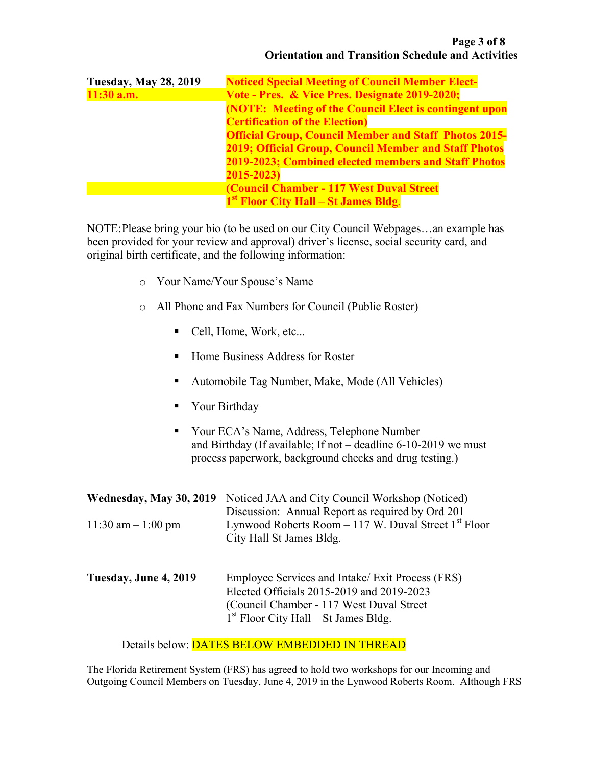| <b>Tuesday, May 28, 2019</b> | <b>Noticed Special Meeting of Council Member Elect-</b>       |
|------------------------------|---------------------------------------------------------------|
| $11:30$ a.m.                 | Vote - Pres. & Vice Pres. Designate 2019-2020;                |
|                              | <b>(NOTE: Meeting of the Council Elect is contingent upon</b> |
|                              | <b>Certification of the Election</b> )                        |
|                              | <b>Official Group, Council Member and Staff Photos 2015-</b>  |
|                              | <b>2019; Official Group, Council Member and Staff Photos</b>  |
|                              | 2019-2023; Combined elected members and Staff Photos          |
|                              | 2015-2023)                                                    |
|                              | (Council Chamber - 117 West Duval Street                      |
|                              | 1 <sup>st</sup> Floor City Hall – St James Bldg.              |

NOTE: Please bring your bio (to be used on our City Council Webpages…an example has been provided for your review and approval) driver's license, social security card, and original birth certificate, and the following information:

- o Your Name/Your Spouse's Name
- o All Phone and Fax Numbers for Council (Public Roster)
	- Cell, Home, Work, etc...
	- Home Business Address for Roster
	- Automobile Tag Number, Make, Mode (All Vehicles)
	- **Now Birthday**
	- Your ECA's Name, Address, Telephone Number and Birthday (If available; If not – deadline 6-10-2019 we must process paperwork, background checks and drug testing.)

| Wednesday, May 30, 2019 | Noticed JAA and City Council Workshop (Noticed)<br>Discussion: Annual Report as required by Ord 201                                                                                  |
|-------------------------|--------------------------------------------------------------------------------------------------------------------------------------------------------------------------------------|
| 11:30 am $-1:00$ pm     | Lynwood Roberts Room $-117$ W. Duval Street 1 <sup>st</sup> Floor<br>City Hall St James Bldg.                                                                                        |
| Tuesday, June 4, 2019   | Employee Services and Intake/ Exit Process (FRS)<br>Elected Officials 2015-2019 and 2019-2023<br>(Council Chamber - 117 West Duval Street)<br>$1st$ Floor City Hall – St James Bldg. |

Details below: DATES BELOW EMBEDDED IN THREAD

The Florida Retirement System (FRS) has agreed to hold two workshops for our Incoming and Outgoing Council Members on Tuesday, June 4, 2019 in the Lynwood Roberts Room. Although FRS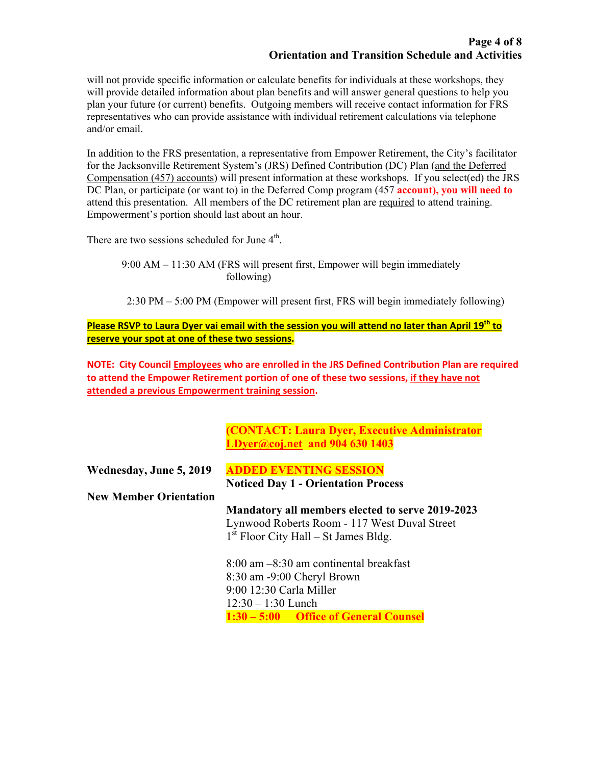will not provide specific information or calculate benefits for individuals at these workshops, they will provide detailed information about plan benefits and will answer general questions to help you plan your future (or current) benefits. Outgoing members will receive contact information for FRS representatives who can provide assistance with individual retirement calculations via telephone and/or email.

In addition to the FRS presentation, a representative from Empower Retirement, the City's facilitator for the Jacksonville Retirement System's (JRS) Defined Contribution (DC) Plan (and the Deferred Compensation (457) accounts) will present information at these workshops. If you select(ed) the JRS DC Plan, or participate (or want to) in the Deferred Comp program (457 **account), you will need to**  attend this presentation. All members of the DC retirement plan are required to attend training. Empowerment's portion should last about an hour.

There are two sessions scheduled for June  $4<sup>th</sup>$ .

9:00 AM – 11:30 AM (FRS will present first, Empower will begin immediately following)

2:30 PM – 5:00 PM (Empower will present first, FRS will begin immediately following)

**Please RSVP to Laura Dyer vai email with the session you will attend no later than April 19th to reserve your spot at one of these two sessions.** 

**NOTE: City Council Employees who are enrolled in the JRS Defined Contribution Plan are required to attend the Empower Retirement portion of one of these two sessions, if they have not attended a previous Empowerment training session.** 

> **(CONTACT: Laura Dyer, Executive Administrator LDyer@coj.net and 904 630 1403**

| Wednesday, June 5, 2019       | <b>ADDED EVENTING SESSION</b>                    |
|-------------------------------|--------------------------------------------------|
|                               | <b>Noticed Day 1 - Orientation Process</b>       |
| <b>New Member Orientation</b> |                                                  |
|                               | Mandatory all members elected to serve 2019-2023 |
|                               | Lynwood Roberts Room - 117 West Duval Street     |
|                               | $1st$ Floor City Hall – St James Bldg.           |
|                               | $8:00$ am $-8:30$ am continental breakfast       |
|                               | 8:30 am -9:00 Cheryl Brown                       |
|                               | 9:00 12:30 Carla Miller                          |
|                               | $12:30 - 1:30$ Lunch                             |

**1:30 – 5:00 Office of General Counsel**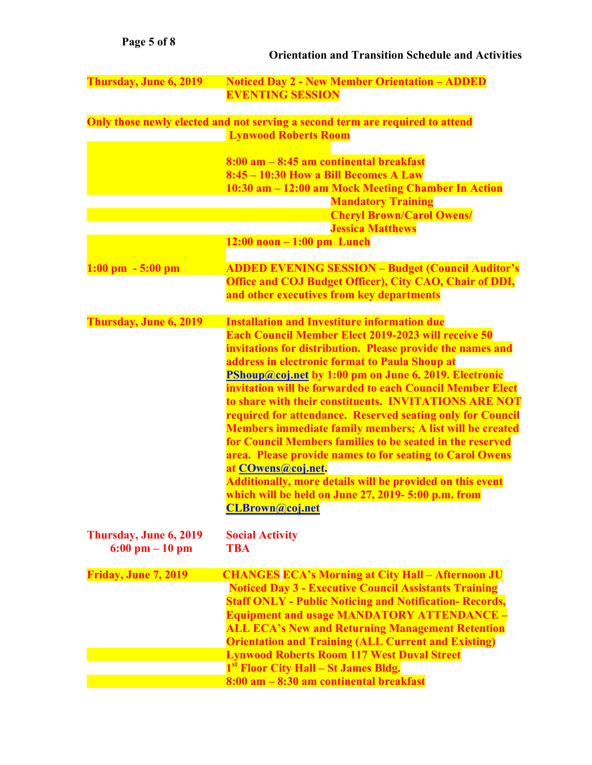## **Orientation and Transition Schedule and Activities**

| Thursday, June 6, 2019               | <b>Noticed Day 2 - New Member Orientation - ADDED</b>                                                                    |
|--------------------------------------|--------------------------------------------------------------------------------------------------------------------------|
|                                      | <b>EVENTING SESSION</b>                                                                                                  |
|                                      | Only those newly elected and not serving a second term are required to attend                                            |
|                                      | <b>Lynwood Roberts Room</b>                                                                                              |
|                                      | $8:00$ am $-8:45$ am continental breakfast                                                                               |
|                                      | 8:45 - 10:30 How a Bill Becomes A Law                                                                                    |
|                                      | 10:30 am - 12:00 am Mock Meeting Chamber In Action                                                                       |
|                                      | <b>Mandatory Training</b>                                                                                                |
|                                      | <b>Cheryl Brown/Carol Owens/</b><br><b>Jessica Matthews</b>                                                              |
|                                      | $12:00$ noon $-1:00$ pm Lunch                                                                                            |
| $1:00 \text{ pm } -5:00 \text{ pm }$ | <b>ADDED EVENING SESSION - Budget (Council Auditor's</b>                                                                 |
|                                      | <b>Office and COJ Budget Officer), City CAO, Chair of DDI,</b>                                                           |
|                                      | and other executives from key departments                                                                                |
| Thursday, June 6, 2019               | <b>Installation and Investiture information due</b>                                                                      |
|                                      | <b>Each Council Member Elect 2019-2023 will receive 50</b>                                                               |
|                                      | invitations for distribution. Please provide the names and                                                               |
|                                      | address in electronic format to Paula Shoup at                                                                           |
|                                      | PShoup@coj.net by 1:00 pm on June 6, 2019. Electronic<br>invitation will be forwarded to each Council Member Elect       |
|                                      | to share with their constituents. INVITATIONS ARE NOT                                                                    |
|                                      | required for attendance. Reserved seating only for Council                                                               |
|                                      | <b>Members immediate family members; A list will be created</b>                                                          |
|                                      | for Council Members families to be seated in the reserved                                                                |
|                                      | area. Please provide names to for seating to Carol Owens                                                                 |
|                                      | at <b>COwens</b> @coj.net.<br>Additionally, more details will be provided on this event                                  |
|                                      | which will be held on June 27, 2019-5:00 p.m. from                                                                       |
|                                      | <b>CLBrown@coj.net</b>                                                                                                   |
| Thursday, June 6, 2019               | <b>Social Activity</b>                                                                                                   |
| $6:00 \text{ pm} - 10 \text{ pm}$    | <b>TBA</b>                                                                                                               |
|                                      |                                                                                                                          |
| <b>Friday, June 7, 2019</b>          | <b>CHANGES ECA's Morning at City Hall - Afternoon JU</b><br><b>Noticed Day 3 - Executive Council Assistants Training</b> |
|                                      | <b>Staff ONLY - Public Noticing and Notification- Records,</b>                                                           |
|                                      | <b>Equipment and usage MANDATORY ATTENDANCE -</b>                                                                        |
|                                      | <b>ALL ECA's New and Returning Management Retention</b>                                                                  |
|                                      | <b>Orientation and Training (ALL Current and Existing)</b>                                                               |
|                                      | <b>Lynwood Roberts Room 117 West Duval Street</b>                                                                        |
|                                      | 1 <sup>st</sup> Floor City Hall – St James Bldg.                                                                         |
|                                      | 8:00 am - 8:30 am continental breakfast                                                                                  |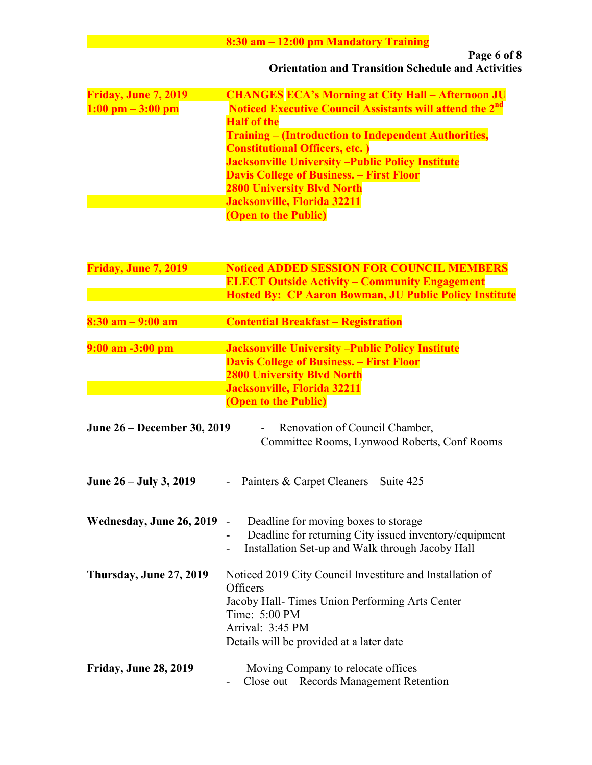# **8:30 am – 12:00 pm Mandatory Training**

| Friday, June 7, 2019                | <b>CHANGES ECA's Morning at City Hall - Afternoon JU</b>                   |
|-------------------------------------|----------------------------------------------------------------------------|
| $1:00 \text{ pm} - 3:00 \text{ pm}$ | <b>Noticed Executive Council Assistants will attend the 2<sup>nd</sup></b> |
|                                     | <b>Half of the</b>                                                         |
|                                     | <b>Training – (Introduction to Independent Authorities,</b>                |
|                                     | <b>Constitutional Officers, etc.</b> )                                     |
|                                     | <b>Jacksonville University - Public Policy Institute</b>                   |
|                                     | <b>Davis College of Business. – First Floor</b>                            |
|                                     | <b>2800 University Blvd North</b>                                          |
|                                     | Jacksonville, Florida 32211                                                |
|                                     | <b>(Open to the Public)</b>                                                |

| Friday, June 7, 2019         | <b>Noticed ADDED SESSION FOR COUNCIL MEMBERS</b><br><b>ELECT Outside Activity – Community Engagement</b><br><b>Hosted By: CP Aaron Bowman, JU Public Policy Institute</b>                                 |
|------------------------------|-----------------------------------------------------------------------------------------------------------------------------------------------------------------------------------------------------------|
| $8:30$ am $-9:00$ am         | <b>Contential Breakfast - Registration</b>                                                                                                                                                                |
| $9:00$ am $-3:00$ pm         | <b>Jacksonville University - Public Policy Institute</b><br><b>Davis College of Business. – First Floor</b><br><b>2800 University Blvd North</b><br>Jacksonville, Florida 32211<br>(Open to the Public)   |
| June 26 - December 30, 2019  | Renovation of Council Chamber,<br>Committee Rooms, Lynwood Roberts, Conf Rooms                                                                                                                            |
| June 26 – July 3, 2019       | Painters & Carpet Cleaners – Suite 425                                                                                                                                                                    |
| Wednesday, June 26, 2019     | Deadline for moving boxes to storage<br>$\overline{\phantom{0}}$<br>Deadline for returning City issued inventory/equipment<br>Installation Set-up and Walk through Jacoby Hall                            |
| Thursday, June 27, 2019      | Noticed 2019 City Council Investiture and Installation of<br>Officers<br>Jacoby Hall- Times Union Performing Arts Center<br>Time: 5:00 PM<br>Arrival: 3:45 PM<br>Details will be provided at a later date |
| <b>Friday, June 28, 2019</b> | Moving Company to relocate offices<br>Close out – Records Management Retention                                                                                                                            |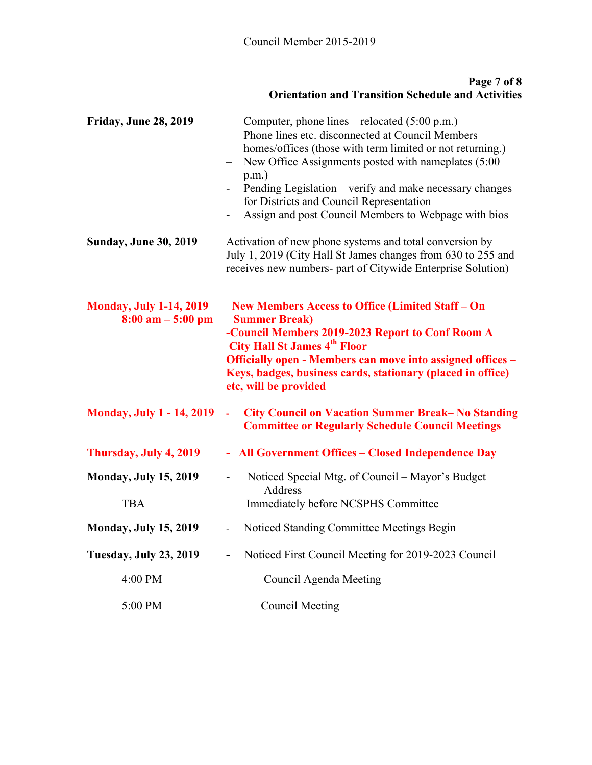### **Page 7 of 8 Orientation and Transition Schedule and Activities**

| <b>Friday, June 28, 2019</b>                                          | Computer, phone lines – relocated $(5:00 \text{ p.m.})$<br>Phone lines etc. disconnected at Council Members<br>homes/offices (those with term limited or not returning.)<br>New Office Assignments posted with nameplates (5:00<br>$p.m.$ )<br>Pending Legislation – verify and make necessary changes<br>$\overline{\phantom{0}}$<br>for Districts and Council Representation<br>Assign and post Council Members to Webpage with bios<br>$\overline{\phantom{a}}$ |
|-----------------------------------------------------------------------|--------------------------------------------------------------------------------------------------------------------------------------------------------------------------------------------------------------------------------------------------------------------------------------------------------------------------------------------------------------------------------------------------------------------------------------------------------------------|
| <b>Sunday, June 30, 2019</b>                                          | Activation of new phone systems and total conversion by<br>July 1, 2019 (City Hall St James changes from 630 to 255 and<br>receives new numbers- part of Citywide Enterprise Solution)                                                                                                                                                                                                                                                                             |
| <b>Monday, July 1-14, 2019</b><br>$8:00 \text{ am} - 5:00 \text{ pm}$ | New Members Access to Office (Limited Staff - On<br><b>Summer Break)</b><br>-Council Members 2019-2023 Report to Conf Room A<br><b>City Hall St James 4th Floor</b><br>Officially open - Members can move into assigned offices -<br>Keys, badges, business cards, stationary (placed in office)<br>etc, will be provided                                                                                                                                          |
| <b>Monday, July 1 - 14, 2019</b>                                      | <b>City Council on Vacation Summer Break-No Standing</b><br>L,<br><b>Committee or Regularly Schedule Council Meetings</b>                                                                                                                                                                                                                                                                                                                                          |
| Thursday, July 4, 2019                                                | - All Government Offices - Closed Independence Day                                                                                                                                                                                                                                                                                                                                                                                                                 |
| <b>Monday, July 15, 2019</b><br><b>TBA</b>                            | Noticed Special Mtg. of Council - Mayor's Budget<br>$\overline{\phantom{0}}$<br>Address<br>Immediately before NCSPHS Committee                                                                                                                                                                                                                                                                                                                                     |
| <b>Monday, July 15, 2019</b>                                          | Noticed Standing Committee Meetings Begin<br>$\overline{\phantom{0}}$                                                                                                                                                                                                                                                                                                                                                                                              |
| <b>Tuesday, July 23, 2019</b>                                         | Noticed First Council Meeting for 2019-2023 Council<br>$\overline{\phantom{0}}$                                                                                                                                                                                                                                                                                                                                                                                    |
| 4:00 PM                                                               | Council Agenda Meeting                                                                                                                                                                                                                                                                                                                                                                                                                                             |
| 5:00 PM                                                               | <b>Council Meeting</b>                                                                                                                                                                                                                                                                                                                                                                                                                                             |